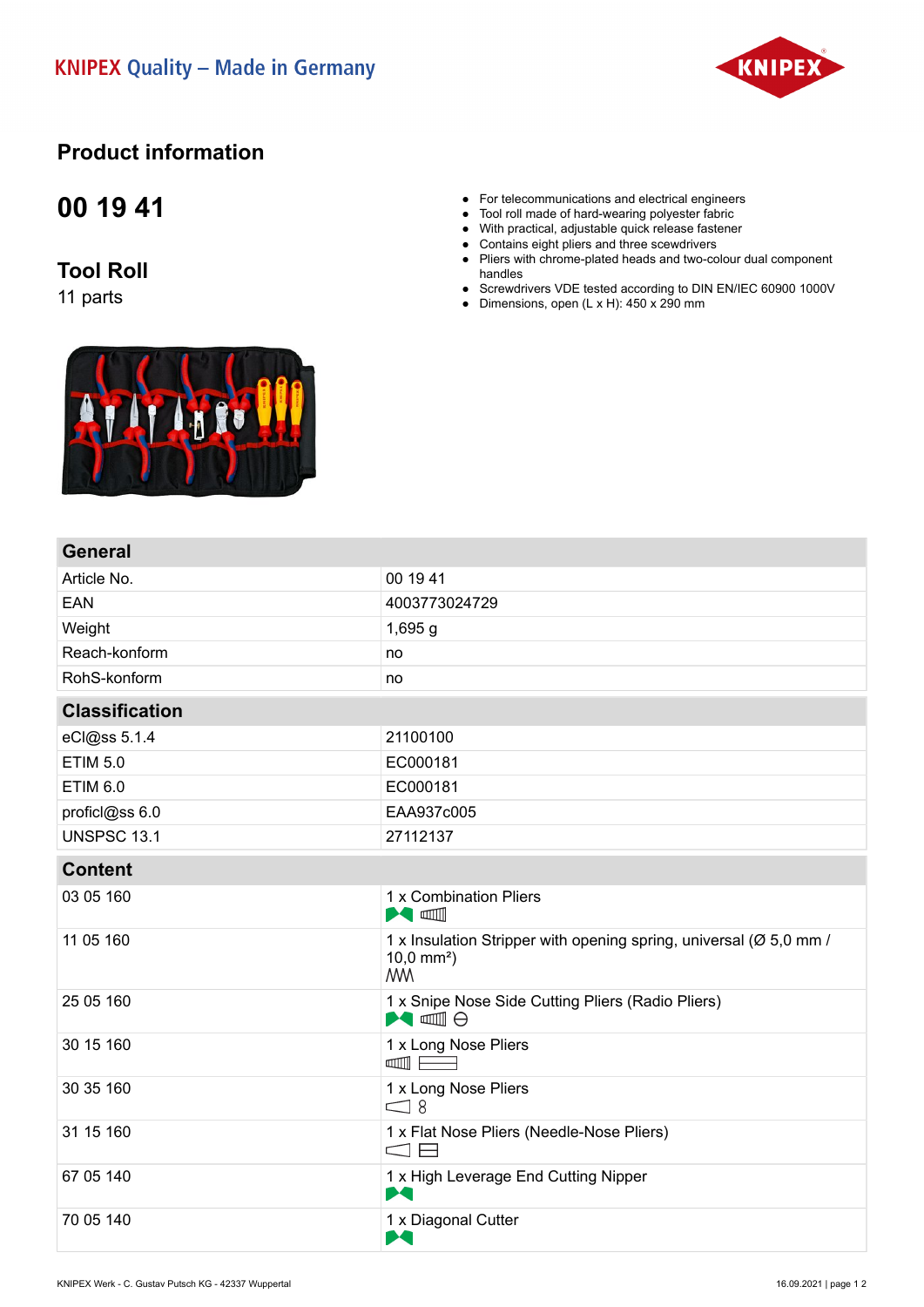

## **Product information**

## **00 19 41**

## **Tool Roll**

11 parts

Ly fo

- For telecommunications and electrical engineers
- Tool roll made of hard-wearing polyester fabric
- With practical, adjustable quick release fastener
- Contains eight pliers and three scewdrivers
- Pliers with chrome-plated heads and two-colour dual component handles
- Screwdrivers VDE tested according to DIN EN/IEC 60900 1000V
- Dimensions, open  $(L \times H)$ : 450 x 290 mm

| <b>General</b>        |                                                                                                          |
|-----------------------|----------------------------------------------------------------------------------------------------------|
| Article No.           | 00 19 41                                                                                                 |
| <b>EAN</b>            | 4003773024729                                                                                            |
| Weight                | $1,695$ g                                                                                                |
| Reach-konform         | no                                                                                                       |
| RohS-konform          | no                                                                                                       |
| <b>Classification</b> |                                                                                                          |
| eCl@ss 5.1.4          | 21100100                                                                                                 |
| <b>ETIM 5.0</b>       | EC000181                                                                                                 |
| <b>ETIM 6.0</b>       | EC000181                                                                                                 |
| proficl@ss 6.0        | EAA937c005                                                                                               |
| <b>UNSPSC 13.1</b>    | 27112137                                                                                                 |
| <b>Content</b>        |                                                                                                          |
| 03 05 160             | 1 x Combination Pliers<br><b>Manufacturer</b>                                                            |
| 11 05 160             | 1 x Insulation Stripper with opening spring, universal (Ø 5,0 mm /<br>$10,0 \text{ mm}^2$ )<br><b>MM</b> |
| 25 05 160             | 1 x Snipe Nose Side Cutting Pliers (Radio Pliers)<br>$\blacktriangleright$ and $\ominus$                 |
| 30 15 160             | 1 x Long Nose Pliers<br>$\Box$                                                                           |
| 30 35 160             | 1 x Long Nose Pliers<br>$\subseteq$ 8                                                                    |
| 31 15 160             | 1 x Flat Nose Pliers (Needle-Nose Pliers)<br>$\Box$                                                      |
| 67 05 140             | 1 x High Leverage End Cutting Nipper<br>M                                                                |
| 70 05 140             | 1 x Diagonal Cutter<br>M                                                                                 |